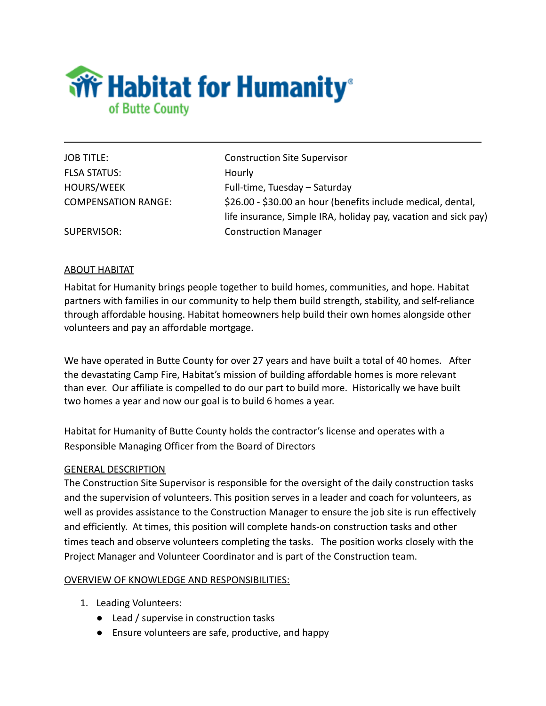

FLSA STATUS: Hourly

JOB TITLE: Construction Site Supervisor HOURS/WEEK Full-time, Tuesday – Saturday COMPENSATION RANGE: \$26.00 - \$30.00 an hour (benefits include medical, dental, life insurance, Simple IRA, holiday pay, vacation and sick pay) SUPERVISOR: Construction Manager

## ABOUT HABITAT

Habitat for Humanity brings people together to build homes, communities, and hope. Habitat partners with families in our community to help them build strength, stability, and self-reliance through affordable housing. Habitat homeowners help build their own homes alongside other volunteers and pay an affordable mortgage.

We have operated in Butte County for over 27 years and have built a total of 40 homes. After the devastating Camp Fire, Habitat's mission of building affordable homes is more relevant than ever. Our affiliate is compelled to do our part to build more. Historically we have built two homes a year and now our goal is to build 6 homes a year.

Habitat for Humanity of Butte County holds the contractor's license and operates with a Responsible Managing Officer from the Board of Directors

### GENERAL DESCRIPTION

The Construction Site Supervisor is responsible for the oversight of the daily construction tasks and the supervision of volunteers. This position serves in a leader and coach for volunteers, as well as provides assistance to the Construction Manager to ensure the job site is run effectively and efficiently. At times, this position will complete hands-on construction tasks and other times teach and observe volunteers completing the tasks. The position works closely with the Project Manager and Volunteer Coordinator and is part of the Construction team.

#### OVERVIEW OF KNOWLEDGE AND RESPONSIBILITIES:

- 1. Leading Volunteers:
	- Lead / supervise in construction tasks
	- Ensure volunteers are safe, productive, and happy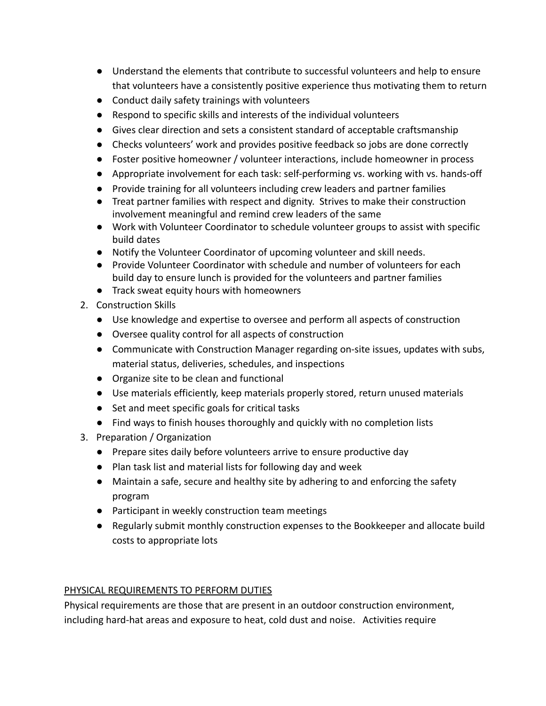- Understand the elements that contribute to successful volunteers and help to ensure that volunteers have a consistently positive experience thus motivating them to return
- Conduct daily safety trainings with volunteers
- Respond to specific skills and interests of the individual volunteers
- Gives clear direction and sets a consistent standard of acceptable craftsmanship
- Checks volunteers' work and provides positive feedback so jobs are done correctly
- Foster positive homeowner / volunteer interactions, include homeowner in process
- Appropriate involvement for each task: self-performing vs. working with vs. hands-off
- Provide training for all volunteers including crew leaders and partner families
- Treat partner families with respect and dignity. Strives to make their construction involvement meaningful and remind crew leaders of the same
- Work with Volunteer Coordinator to schedule volunteer groups to assist with specific build dates
- Notify the Volunteer Coordinator of upcoming volunteer and skill needs.
- Provide Volunteer Coordinator with schedule and number of volunteers for each build day to ensure lunch is provided for the volunteers and partner families
- Track sweat equity hours with homeowners
- 2. Construction Skills
	- Use knowledge and expertise to oversee and perform all aspects of construction
	- Oversee quality control for all aspects of construction
	- Communicate with Construction Manager regarding on-site issues, updates with subs, material status, deliveries, schedules, and inspections
	- Organize site to be clean and functional
	- Use materials efficiently, keep materials properly stored, return unused materials
	- Set and meet specific goals for critical tasks
	- Find ways to finish houses thoroughly and quickly with no completion lists
- 3. Preparation / Organization
	- Prepare sites daily before volunteers arrive to ensure productive day
	- Plan task list and material lists for following day and week
	- Maintain a safe, secure and healthy site by adhering to and enforcing the safety program
	- Participant in weekly construction team meetings
	- Regularly submit monthly construction expenses to the Bookkeeper and allocate build costs to appropriate lots

# PHYSICAL REQUIREMENTS TO PERFORM DUTIES

Physical requirements are those that are present in an outdoor construction environment, including hard-hat areas and exposure to heat, cold dust and noise. Activities require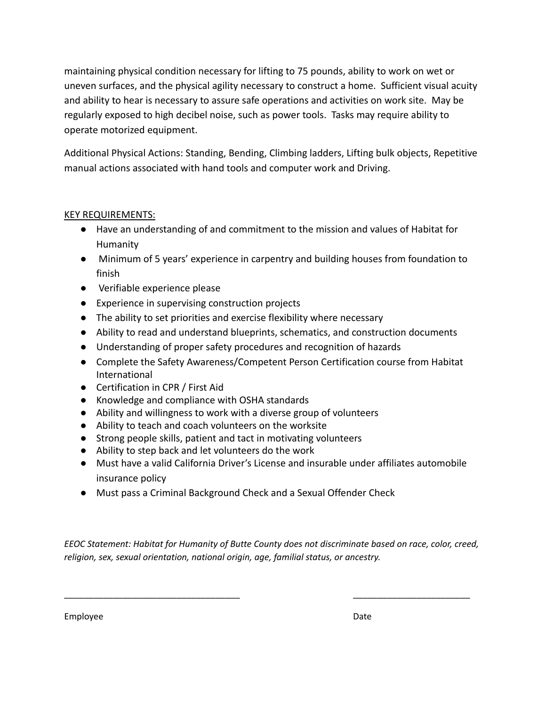maintaining physical condition necessary for lifting to 75 pounds, ability to work on wet or uneven surfaces, and the physical agility necessary to construct a home. Sufficient visual acuity and ability to hear is necessary to assure safe operations and activities on work site. May be regularly exposed to high decibel noise, such as power tools. Tasks may require ability to operate motorized equipment.

Additional Physical Actions: Standing, Bending, Climbing ladders, Lifting bulk objects, Repetitive manual actions associated with hand tools and computer work and Driving.

### KEY REQUIREMENTS:

- Have an understanding of and commitment to the mission and values of Habitat for Humanity
- Minimum of 5 years' experience in carpentry and building houses from foundation to finish
- Verifiable experience please
- Experience in supervising construction projects
- The ability to set priorities and exercise flexibility where necessary
- Ability to read and understand blueprints, schematics, and construction documents
- Understanding of proper safety procedures and recognition of hazards
- Complete the Safety Awareness/Competent Person Certification course from Habitat International
- Certification in CPR / First Aid
- Knowledge and compliance with OSHA standards
- Ability and willingness to work with a diverse group of volunteers
- Ability to teach and coach volunteers on the worksite
- Strong people skills, patient and tact in motivating volunteers
- Ability to step back and let volunteers do the work
- Must have a valid California Driver's License and insurable under affiliates automobile insurance policy
- Must pass a Criminal Background Check and a Sexual Offender Check

*EEOC Statement: Habitat for Humanity of Butte County does not discriminate based on race, color, creed, religion, sex, sexual orientation, national origin, age, familial status, or ancestry.*

\_\_\_\_\_\_\_\_\_\_\_\_\_\_\_\_\_\_\_\_\_\_\_\_\_\_\_\_\_\_\_\_\_\_\_\_ \_\_\_\_\_\_\_\_\_\_\_\_\_\_\_\_\_\_\_\_\_\_\_\_

Employee Date